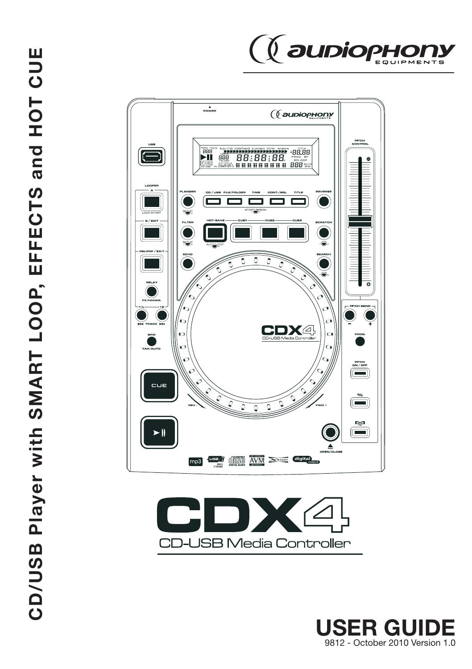





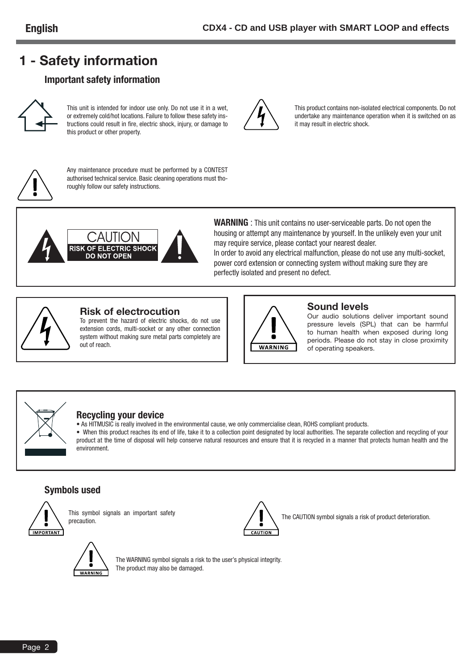# **1 - Safety information**

### **Important safety information**



**English**

This unit is intended for indoor use only. Do not use it in a wet, or extremely cold/hot locations. Failure to follow these safety instructions could result in fire, electric shock, injury, or damage to this product or other property.



Any maintenance procedure must be performed by a CONTEST authorised technical service. Basic cleaning operations must thoroughly follow our safety instructions.



**WARNING** : This unit contains no user-serviceable parts. Do not open the housing or attempt any maintenance by yourself. In the unlikely even your unit may require service, please contact your nearest dealer.

it may result in electric shock.

In order to avoid any electrical malfunction, please do not use any multi-socket, power cord extension or connecting system without making sure they are perfectly isolated and present no defect.



### **Risk of electrocution**

To prevent the hazard of electric shocks, do not use extension cords, multi-socket or any other connection system without making sure metal parts completely are out of reach.



### **Sound levels**

Our audio solutions deliver important sound pressure levels (SPL) that can be harmful to human health when exposed during long periods. Please do not stay in close proximity of operating speakers.

This product contains non-isolated electrical components. Do not undertake any maintenance operation when it is switched on as



### **Recycling your device**

• As HITMUSIC is really involved in the environmental cause, we only commercialise clean, ROHS compliant products. • When this product reaches its end of life, take it to a collection point designated by local authorities. The separate collection and recycling of your product at the time of disposal will help conserve natural resources and ensure that it is recycled in a manner that protects human health and the environment.

### **Symbols used**



This symbol signals an important safety<br>precaution



The CAUTION symbol signals a risk of product deterioration.



The WARNING symbol signals a risk to the user's physical integrity. The product may also be damaged.

Page 2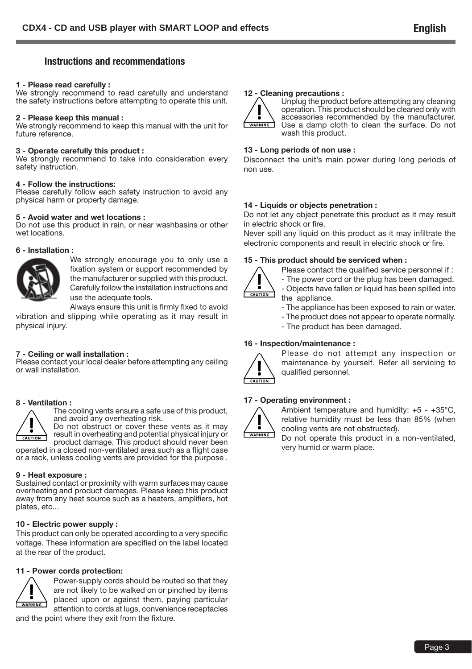### **Instructions and recommendations**

#### **1 - Please read carefully :**

We strongly recommend to read carefully and understand the safety instructions before attempting to operate this unit.

#### **2 - Please keep this manual :**

We strongly recommend to keep this manual with the unit for future reference.

#### **3 - Operate carefully this product :**

We strongly recommend to take into consideration every safety instruction.

#### **4 - Follow the instructions:**

Please carefully follow each safety instruction to avoid any physical harm or property damage.

#### **5 - Avoid water and wet locations :**

Do not use this product in rain, or near washbasins or other wet locations.

#### **6 - Installation :**



We strongly encourage you to only use a fixation system or support recommended by the manufacturer or supplied with this product. Carefully follow the installation instructions and use the adequate tools.

Always ensure this unit is firmly fixed to avoid

vibration and slipping while operating as it may result in physical injury.

#### **7 - Ceiling or wall installation :**

Please contact your local dealer before attempting any ceiling or wall installation.

#### **8 - Ventilation :**



The cooling vents ensure a safe use of this product, and avoid any overheating risk.

Do not obstruct or cover these vents as it may result in overheating and potential physical injury or product damage. This product should never been operated in a closed non-ventilated area such as a flight case or a rack, unless cooling vents are provided for the purpose .

#### **9 - Heat exposure :**

Sustained contact or proximity with warm surfaces may cause overheating and product damages. Please keep this product away from any heat source such as a heaters, amplifiers, hot plates, etc...

### **10 - Electric power supply :**

This product can only be operated according to a very specific voltage. These information are specified on the label located at the rear of the product.

#### **11 - Power cords protection:**



Power-supply cords should be routed so that they are not likely to be walked on or pinched by items placed upon or against them, paying particular attention to cords at lugs, convenience receptacles

and the point where they exit from the fixture.

#### **12 - Cleaning precautions :**



Unplug the product before attempting any cleaning operation. This product should be cleaned only with accessories recommended by the manufacturer. Use a damp cloth to clean the surface. Do not wash this product.

#### **13 - Long periods of non use :**

Disconnect the unit's main power during long periods of non use.

#### **14 - Liquids or objects penetration :**

Do not let any object penetrate this product as it may result in electric shock or fire.

Never spill any liquid on this product as it may infiltrate the electronic components and result in electric shock or fire.

#### **15 - This product should be serviced when :**



Please contact the qualified service personnel if :

- The power cord or the plug has been damaged.

- Objects have fallen or liquid has been spilled into the appliance.

- The appliance has been exposed to rain or water.

- The product does not appear to operate normally.
- The product has been damaged.

### **16 - Inspection/maintenance :**



Please do not attempt any inspection or maintenance by yourself. Refer all servicing to qualified personnel.

#### **17 - Operating environment :**



Ambient temperature and humidity: +5 - +35°C, relative humidity must be less than 85% (when cooling vents are not obstructed).

Do not operate this product in a non-ventilated, very humid or warm place.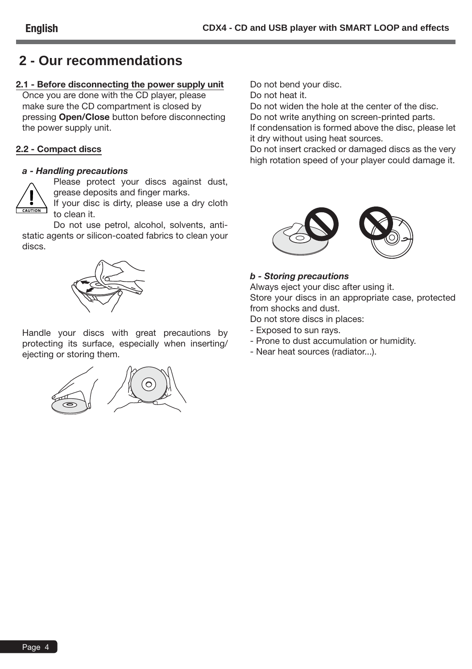# **2 - Our recommendations**

### **2.1 - Before disconnecting the power supply unit**

Once you are done with the CD player, please make sure the CD compartment is closed by pressing **Open/Close** button before disconnecting the power supply unit.

### **2.2 - Compact discs**

### *a - Handling precautions*



Please protect your discs against dust, grease deposits and finger marks.

If your disc is dirty, please use a dry cloth to clean it.

Do not use petrol, alcohol, solvents, antistatic agents or silicon-coated fabrics to clean your discs.



Handle your discs with great precautions by protecting its surface, especially when inserting/ ejecting or storing them.



Do not bend your disc.

Do not heat it.

Do not widen the hole at the center of the disc.

Do not write anything on screen-printed parts.

If condensation is formed above the disc, please let it dry without using heat sources.

Do not insert cracked or damaged discs as the very high rotation speed of your player could damage it.



### *b - Storing precautions*

Always eject your disc after using it. Store your discs in an appropriate case, protected from shocks and dust.

Do not store discs in places:

- Exposed to sun rays.
- Prone to dust accumulation or humidity.
- Near heat sources (radiator...).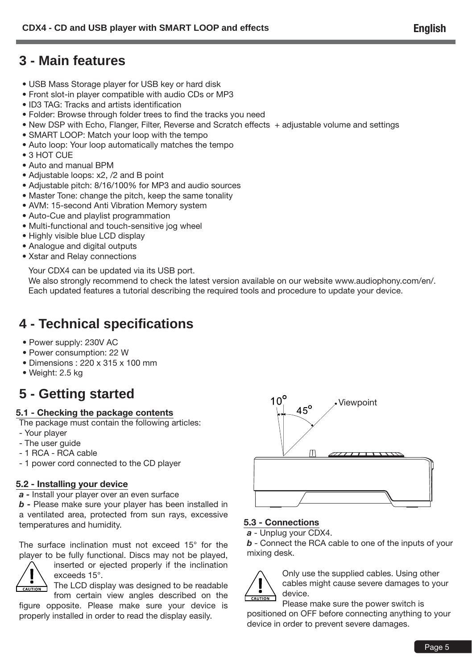# **3 - Main features**

- USB Mass Storage player for USB key or hard disk
- Front slot-in player compatible with audio CDs or MP3
- ID3 TAG: Tracks and artists identification
- Folder: Browse through folder trees to find the tracks you need
- New DSP with Echo, Flanger, Filter, Reverse and Scratch effects + adjustable volume and settings
- SMART LOOP: Match your loop with the tempo
- Auto loop: Your loop automatically matches the tempo
- 3 HOT CUE
- Auto and manual BPM
- Adjustable loops: x2, /2 and B point
- Adjustable pitch: 8/16/100% for MP3 and audio sources
- Master Tone: change the pitch, keep the same tonality
- AVM: 15-second Anti Vibration Memory system
- Auto-Cue and playlist programmation
- Multi-functional and touch-sensitive jog wheel
- Highly visible blue LCD display
- Analogue and digital outputs
- Xstar and Relay connections

Your CDX4 can be updated via its USB port.

We also strongly recommend to check the latest version available on our website www.audiophony.com/en/. Each updated features a tutorial describing the required tools and procedure to update your device.

# **4 - Technical specifications**

- Power supply: 230V AC
- Power consumption: 22 W
- Dimensions : 220 x 315 x 100 mm
- Weight: 2.5 kg

# **5 - Getting started**

### **5.1 - Checking the package contents**

The package must contain the following articles:

- Your player
- The user guide
- 1 RCA RCA cable
- 1 power cord connected to the CD player

### **5.2 - Installing your device**

*a -* Install your player over an even surface

*b -* Please make sure your player has been installed in a ventilated area, protected from sun rays, excessive temperatures and humidity.

The surface inclination must not exceed 15° for the player to be fully functional. Discs may not be played,



inserted or ejected properly if the inclination exceeds 15°.

The LCD display was designed to be readable from certain view angles described on the

figure opposite. Please make sure your device is properly installed in order to read the display easily.



### **5.3 - Connections**

*a* - Unplug your CDX4.

*b* - Connect the RCA cable to one of the inputs of your mixing desk.



Only use the supplied cables. Using other cables might cause severe damages to your device.

Please make sure the power switch is positioned on OFF before connecting anything to your device in order to prevent severe damages.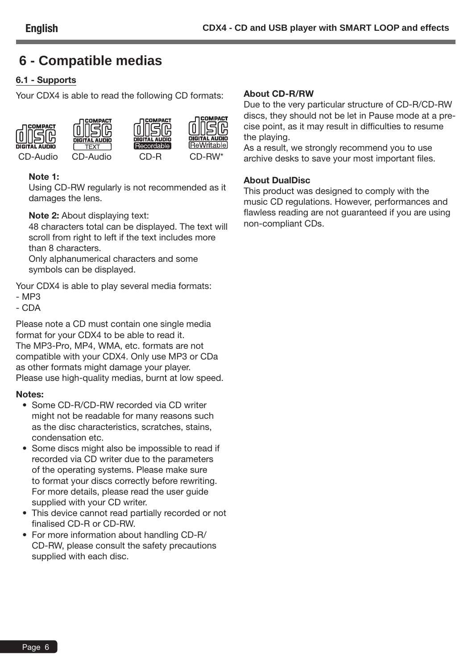# **6 - Compatible medias**

### **6.1 - Supports**

Your CDX4 is able to read the following CD formats:









CD-Audio CD-Audio CD-R CD-RW\*



### **Note 1:**

Using CD-RW regularly is not recommended as it damages the lens.

### **Note 2:** About displaying text:

48 characters total can be displayed. The text will scroll from right to left if the text includes more than 8 characters.

Only alphanumerical characters and some symbols can be displayed.

Your CDX4 is able to play several media formats:

- MP3
- CDA

Please note a CD must contain one single media format for your CDX4 to be able to read it. The MP3-Pro, MP4, WMA, etc. formats are not compatible with your CDX4. Only use MP3 or CDa as other formats might damage your player. Please use high-quality medias, burnt at low speed.

### **Notes:**

- Some CD-R/CD-RW recorded via CD writer might not be readable for many reasons such as the disc characteristics, scratches, stains, condensation etc.
- Some discs might also be impossible to read if recorded via CD writer due to the parameters of the operating systems. Please make sure to format your discs correctly before rewriting. For more details, please read the user guide supplied with your CD writer.
- This device cannot read partially recorded or not finalised CD-R or CD-RW.
- For more information about handling CD-R/ CD-RW, please consult the safety precautions supplied with each disc.

### **About CD-R/RW**

Due to the very particular structure of CD-R/CD-RW discs, they should not be let in Pause mode at a precise point, as it may result in difficulties to resume the playing.

As a result, we strongly recommend you to use archive desks to save your most important files.

### **About DualDisc**

This product was designed to comply with the music CD regulations. However, performances and flawless reading are not guaranteed if you are using non-compliant CDs.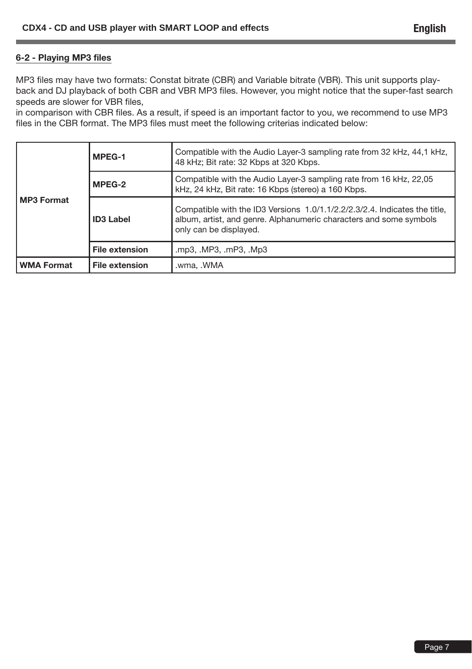### **6-2 - Playing MP3 files**

MP3 files may have two formats: Constat bitrate (CBR) and Variable bitrate (VBR). This unit supports playback and DJ playback of both CBR and VBR MP3 files. However, you might notice that the super-fast search speeds are slower for VBR files,

in comparison with CBR files. As a result, if speed is an important factor to you, we recommend to use MP3 files in the CBR format. The MP3 files must meet the following criterias indicated below:

| <b>MP3 Format</b> | MPEG-1                | Compatible with the Audio Layer-3 sampling rate from 32 kHz, 44,1 kHz,<br>48 kHz; Bit rate: 32 Kbps at 320 Kbps.                                                           |
|-------------------|-----------------------|----------------------------------------------------------------------------------------------------------------------------------------------------------------------------|
|                   | MPEG-2                | Compatible with the Audio Layer-3 sampling rate from 16 kHz, 22,05<br>kHz, 24 kHz, Bit rate: 16 Kbps (stereo) a 160 Kbps.                                                  |
|                   | <b>ID3 Label</b>      | Compatible with the ID3 Versions 1.0/1.1/2.2/2.3/2.4. Indicates the title,<br>album, artist, and genre. Alphanumeric characters and some symbols<br>only can be displayed. |
|                   | <b>File extension</b> | .mp3, .MP3, .mP3, .Mp3                                                                                                                                                     |
| <b>WMA Format</b> | <b>File extension</b> | .wma, .WMA                                                                                                                                                                 |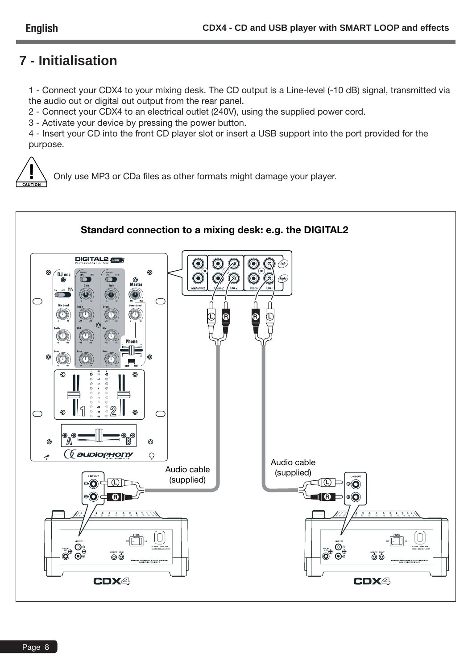# **7 - Initialisation**

1 - Connect your CDX4 to your mixing desk. The CD output is a Line-level (-10 dB) signal, transmitted via the audio out or digital out output from the rear panel.

2 - Connect your CDX4 to an electrical outlet (240V), using the supplied power cord.

3 - Activate your device by pressing the power button.

4 - Insert your CD into the front CD player slot or insert a USB support into the port provided for the purpose.



Only use MP3 or CDa files as other formats might damage your player.

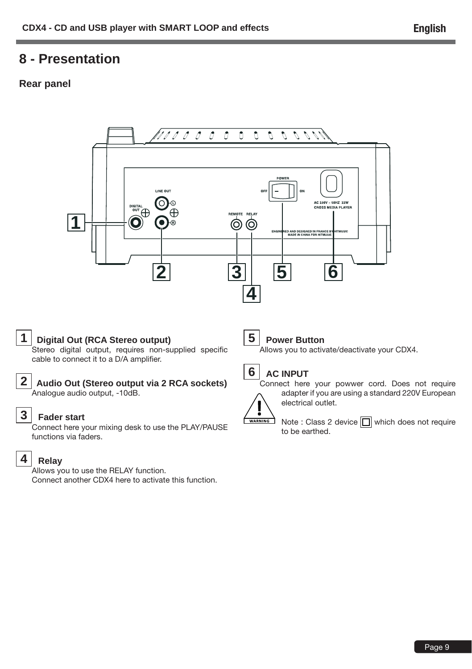# **8 - Presentation**

### **Rear panel**



### **2 Audio Out (Stereo output via 2 RCA sockets)** Analogue audio output, -10dB.

# **3 Fader start**

Connect here your mixing desk to use the PLAY/PAUSE functions via faders.

# **4 Relay**

Allows you to use the RELAY function. Connect another CDX4 here to activate this function.

# **6 AC INPUT**



Connect here your powwer cord. Does not require adapter if you are using a standard 220V European electrical outlet.

Note : Class 2 device  $\Box$  which does not require to be earthed.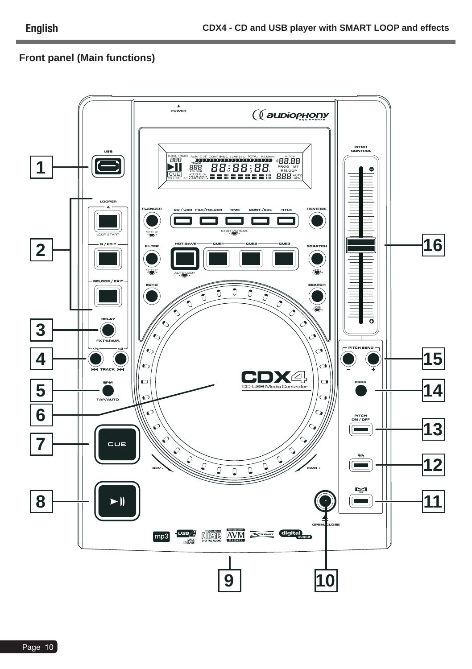# **Front panel (Main functions)**

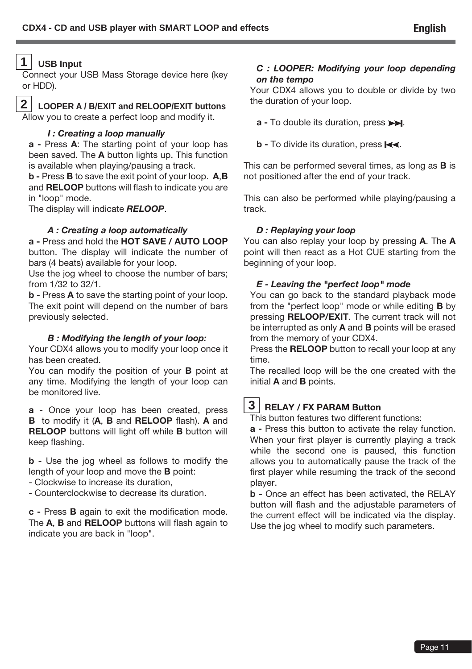### **1 USB Input**

Connect your USB Mass Storage device here (key or HDD).

# **2 LOOPER A / B/EXIT and RELOOP/EXIT buttons**

Allow you to create a perfect loop and modify it.

# *I : Creating a loop manually*

**a -** Press **A**: The starting point of your loop has been saved. The **A** button lights up. This function is available when playing/pausing a track.

**b -** Press **B** to save the exit point of your loop. **A**,**B** and **RELOOP** buttons will flash to indicate you are in "loop" mode.

The display will indicate *RELOOP*.

### *A : Creating a loop automatically*

**a -** Press and hold the **HOT SAVE / AUTO LOOP**  button. The display will indicate the number of bars (4 beats) available for your loop.

Use the jog wheel to choose the number of bars; from 1/32 to 32/1.

**b -** Press **A** to save the starting point of your loop. The exit point will depend on the number of bars previously selected.

### *B : Modifying the length of your loop:*

Your CDX4 allows you to modify your loop once it has been created.

You can modify the position of your **B** point at any time. Modifying the length of your loop can be monitored live.

**a -** Once your loop has been created, press **B** to modify it (**A**, **B** and **RELOOP** flash). **A** and **RELOOP** buttons will light off while **B** button will keep flashing.

**b -** Use the jog wheel as follows to modify the length of your loop and move the **B** point:

- Clockwise to increase its duration,

- Counterclockwise to decrease its duration.

**c -** Press **B** again to exit the modification mode. The **A**, **B** and **RELOOP** buttons will flash again to indicate you are back in "loop".

### *C : LOOPER: Modifying your loop depending on the tempo*

Your CDX4 allows you to double or divide by two the duration of your loop.

- **a** To double its duration, press  $\rightarrow$ .
- **b** To divide its duration, press  $\blacktriangleleft$ .

This can be performed several times, as long as **B** is not positioned after the end of your track.

This can also be performed while playing/pausing a track.

### *D : Replaying your loop*

You can also replay your loop by pressing **A**. The **A** point will then react as a Hot CUE starting from the beginning of your loop.

# *E - Leaving the "perfect loop" mode*

You can go back to the standard playback mode from the "perfect loop" mode or while editing **B** by pressing **RELOOP/EXIT**. The current track will not be interrupted as only **A** and **B** points will be erased from the memory of your CDX4.

Press the **RELOOP** button to recall your loop at any time.

The recalled loop will be the one created with the initial **A** and **B** points.

# **3 RELAY / FX PARAM Button**

This button features two different functions:

**a -** Press this button to activate the relay function. When your first player is currently playing a track while the second one is paused, this function allows you to automatically pause the track of the first player while resuming the track of the second player.

**b -** Once an effect has been activated, the RELAY button will flash and the adjustable parameters of the current effect will be indicated via the display. Use the jog wheel to modify such parameters.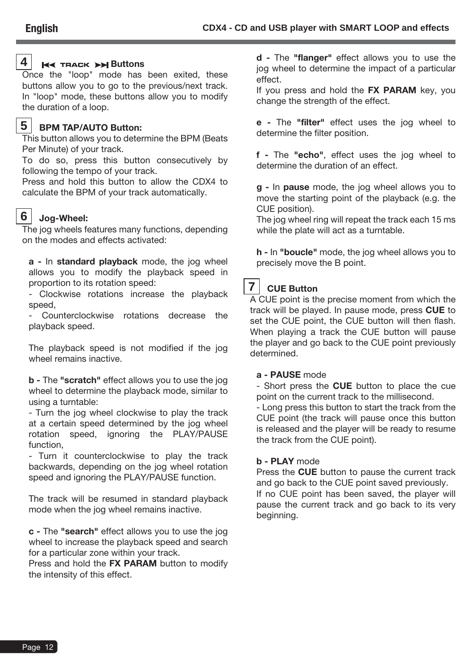# **4 Buttons**

Once the "loop" mode has been exited, these buttons allow you to go to the previous/next track. In "loop" mode, these buttons allow you to modify the duration of a loop.

### **5 BPM TAP/AUTO Button:**

This button allows you to determine the BPM (Beats Per Minute) of your track.

To do so, press this button consecutively by following the tempo of your track.

Press and hold this button to allow the CDX4 to calculate the BPM of your track automatically.

### **6 Jog-Wheel:**

The jog wheels features many functions, depending on the modes and effects activated:

**a -** In **standard playback** mode, the jog wheel allows you to modify the playback speed in proportion to its rotation speed:

- Clockwise rotations increase the playback speed,

Counterclockwise rotations decrease the playback speed.

The playback speed is not modified if the jog wheel remains inactive.

**b -** The **"scratch"** effect allows you to use the jog wheel to determine the playback mode, similar to using a turntable:

- Turn the jog wheel clockwise to play the track at a certain speed determined by the jog wheel rotation speed, ignoring the PLAY/PAUSE function,

- Turn it counterclockwise to play the track backwards, depending on the jog wheel rotation speed and ignoring the PLAY/PAUSE function.

The track will be resumed in standard playback mode when the jog wheel remains inactive.

**c -** The **"search"** effect allows you to use the jog wheel to increase the playback speed and search for a particular zone within your track.

Press and hold the **FX PARAM** button to modify the intensity of this effect.

**d -** The **"flanger"** effect allows you to use the jog wheel to determine the impact of a particular effect.

If you press and hold the **FX PARAM** key, you change the strength of the effect.

**e -** The **"filter"** effect uses the jog wheel to determine the filter position.

**f -** The **"echo"**, effect uses the jog wheel to determine the duration of an effect.

**g -** In **pause** mode, the jog wheel allows you to move the starting point of the playback (e.g. the CUE position).

The jog wheel ring will repeat the track each 15 ms while the plate will act as a turntable.

**h -** In **"boucle"** mode, the jog wheel allows you to precisely move the B point.

# **7 CUE Button**

A CUE point is the precise moment from which the track will be played. In pause mode, press **CUE** to set the CUE point, the CUE button will then flash. When playing a track the CUE button will pause the player and go back to the CUE point previously determined.

### **a - PAUSE** mode

- Short press the **CUE** button to place the cue point on the current track to the millisecond.

- Long press this button to start the track from the CUE point (the track will pause once this button is released and the player will be ready to resume the track from the CUE point).

### **b - PLAY** mode

Press the **CUE** button to pause the current track and go back to the CUE point saved previously. If no CUE point has been saved, the player will pause the current track and go back to its very beginning.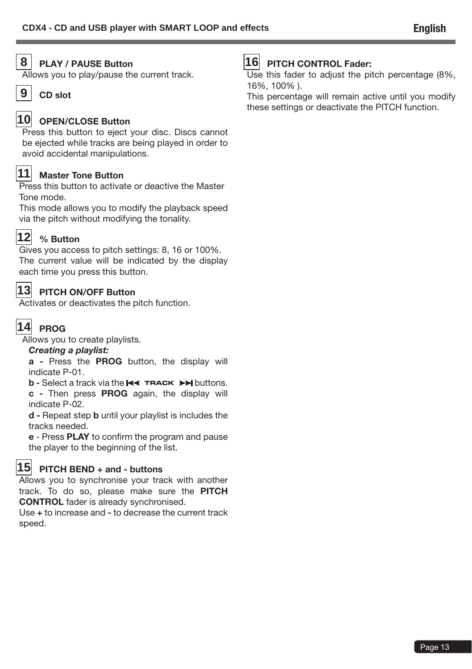# **8 PLAY / PAUSE Button**

Allows you to play/pause the current track.



### **10 OPEN/CLOSE Button**

Press this button to eject your disc. Discs cannot be ejected while tracks are being played in order to avoid accidental manipulations.

# **11 Master Tone Button**

Press this button to activate or deactive the Master Tone mode.

This mode allows you to modify the playback speed via the pitch without modifying the tonality.



# **12 % Button**

Gives you access to pitch settings: 8, 16 or 100%. The current value will be indicated by the display each time you press this button.

# **13 PITCH ON/OFF Button**

Activates or deactivates the pitch function.

# **14 PROG**

Allows you to create playlists.

### *Creating a playlist:*

**a -** Press the **PROG** button, the display will indicate P-01.

**b** - Select a track via the  $\blacktriangleright\blacktriangleleft$  **TRACK**  $\blacktriangleright\blacktriangleright$  buttons.

**c -** Then press **PROG** again, the display will indicate P-02.

**d -** Repeat step **b** until your playlist is includes the tracks needed.

**e** - Press **PLAY** to confirm the program and pause the player to the beginning of the list.

# **15 PITCH BEND + and - buttons**

Allows you to synchronise your track with another track. To do so, please make sure the **PITCH CONTROL** fader is already synchronised.

Use **+** to increase and **-** to decrease the current track speed.

# **16 PITCH CONTROL Fader:**

Use this fader to adjust the pitch percentage (8%, 16%, 100% ).

This percentage will remain active until you modify these settings or deactivate the PITCH function.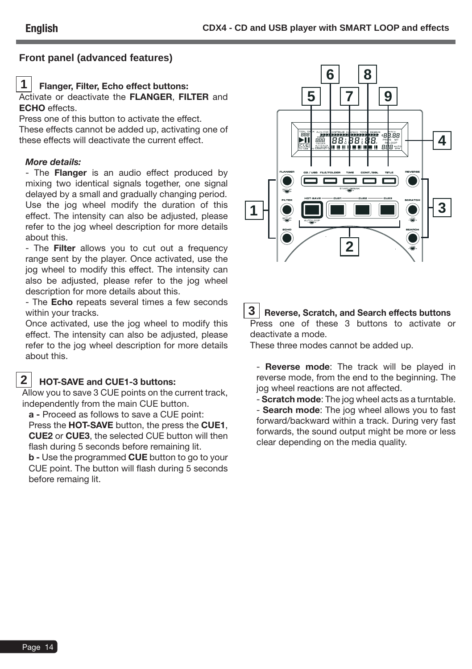### **Front panel (advanced features)**

### **1 Flanger, Filter, Echo effect buttons:**

Activate or deactivate the **FLANGER**, **FILTER** and **ECHO** effects.

Press one of this button to activate the effect. These effects cannot be added up, activating one of these effects will deactivate the current effect.

### *More details:*

**English**

- The **Flanger** is an audio effect produced by mixing two identical signals together, one signal delayed by a small and gradually changing period. Use the jog wheel modify the duration of this effect. The intensity can also be adjusted, please refer to the jog wheel description for more details about this.

- The **Filter** allows you to cut out a frequency range sent by the player. Once activated, use the jog wheel to modify this effect. The intensity can also be adjusted, please refer to the jog wheel description for more details about this.

- The **Echo** repeats several times a few seconds within your tracks.

Once activated, use the jog wheel to modify this effect. The intensity can also be adjusted, please refer to the jog wheel description for more details about this.

# **2 HOT-SAVE and CUE1-3 buttons:**

Allow you to save 3 CUE points on the current track, independently from the main CUE button.

**a -** Proceed as follows to save a CUE point: Press the **HOT-SAVE** button, the press the **CUE1**, **CUE2** or **CUE3**, the selected CUE button will then flash during 5 seconds before remaining lit.

**b -** Use the programmed **CUE** button to go to your CUE point. The button will flash during 5 seconds before remaing lit.



### **3 Reverse, Scratch, and Search effects buttons** Press one of these 3 buttons to activate or

deactivate a mode.

These three modes cannot be added up.

- **Reverse mode**: The track will be played in reverse mode, from the end to the beginning. The jog wheel reactions are not affected.

- **Scratch mode**: The jog wheel acts as a turntable.

- **Search mode**: The jog wheel allows you to fast forward/backward within a track. During very fast forwards, the sound output might be more or less clear depending on the media quality.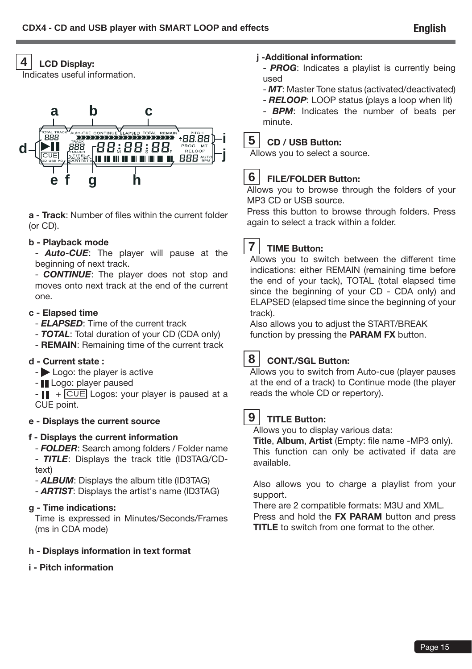# **4 LCD Display:**

Indicates useful information.



**a - Track**: Number of files within the current folder (or CD).

### **b - Playback mode**

- *Auto-CUE*: The player will pause at the beginning of next track.

- *CONTINUE*: The player does not stop and moves onto next track at the end of the current one.

### **c - Elapsed time**

- *ELAPSED*: Time of the current track
- *TOTAL*: Total duration of your CD (CDA only)
- **REMAIN**: Remaining time of the current track

### **d - Current state :**

- Logo: the player is active
- III Logo: player paused

 $+$   $\overline{CUE}$  Logos: your player is paused at a CUE point.

### **e - Displays the current source**

### **f - Displays the current information**

- *FOLDER*: Search among folders / Folder name - *TITLE*: Displays the track title (ID3TAG/CDtext)

- *ALBUM*: Displays the album title (ID3TAG)

- *ARTIST*: Displays the artist's name (ID3TAG)

### **g - Time indications:**

Time is expressed in Minutes/Seconds/Frames (ms in CDA mode)

### **h - Displays information in text format**

### **i - Pitch information**

### **j -Additional information:**

- *PROG*: Indicates a playlist is currently being used
- *MT*: Master Tone status (activated/deactivated)
- *RELOOP*: LOOP status (plays a loop when lit)

- *BPM*: Indicates the number of beats per minute.

# **5 CD / USB Button:**

Allows you to select a source.

# **6 FILE/FOLDER Button:**

Allows you to browse through the folders of your MP3 CD or USB source.

Press this button to browse through folders. Press again to select a track within a folder.

# **7 TIME Button:**

Allows you to switch between the different time indications: either REMAIN (remaining time before the end of your tack), TOTAL (total elapsed time since the beginning of your CD - CDA only) and ELAPSED (elapsed time since the beginning of your track).

Also allows you to adjust the START/BREAK function by pressing the **PARAM FX** button.

# **8 CONT./SGL Button:**

Allows you to switch from Auto-cue (player pauses at the end of a track) to Continue mode (the player reads the whole CD or repertory).

**9 TITLE Button:**

Allows you to display various data:

**Title**, **Album**, **Artist** (Empty: file name -MP3 only). This function can only be activated if data are available.

Also allows you to charge a playlist from your support.

There are 2 compatible formats: M3U and XML. Press and hold the **FX PARAM** button and press **TITLE** to switch from one format to the other.